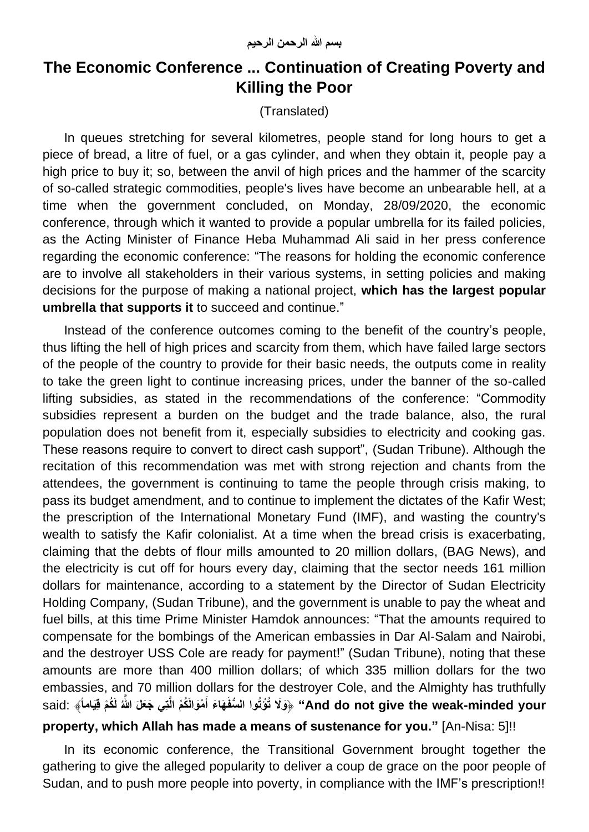## **The Economic Conference ... Continuation of Creating Poverty and Killing the Poor**

(Translated)

In queues stretching for several kilometres, people stand for long hours to get a piece of bread, a litre of fuel, or a gas cylinder, and when they obtain it, people pay a high price to buy it; so, between the anvil of high prices and the hammer of the scarcity of so-called strategic commodities, people's lives have become an unbearable hell, at a time when the government concluded, on Monday, 28/09/2020, the economic conference, through which it wanted to provide a popular umbrella for its failed policies, as the Acting Minister of Finance Heba Muhammad Ali said in her press conference regarding the economic conference: "The reasons for holding the economic conference are to involve all stakeholders in their various systems, in setting policies and making decisions for the purpose of making a national project, **which has the largest popular umbrella that supports it** to succeed and continue."

Instead of the conference outcomes coming to the benefit of the country's people, thus lifting the hell of high prices and scarcity from them, which have failed large sectors of the people of the country to provide for their basic needs, the outputs come in reality to take the green light to continue increasing prices, under the banner of the so-called lifting subsidies, as stated in the recommendations of the conference: "Commodity subsidies represent a burden on the budget and the trade balance, also, the rural population does not benefit from it, especially subsidies to electricity and cooking gas. These reasons require to convert to direct cash support", (Sudan Tribune). Although the recitation of this recommendation was met with strong rejection and chants from the attendees, the government is continuing to tame the people through crisis making, to pass its budget amendment, and to continue to implement the dictates of the Kafir West; the prescription of the International Monetary Fund (IMF), and wasting the country's wealth to satisfy the Kafir colonialist. At a time when the bread crisis is exacerbating, claiming that the debts of flour mills amounted to 20 million dollars, (BAG News), and the electricity is cut off for hours every day, claiming that the sector needs 161 million dollars for maintenance, according to a statement by the Director of Sudan Electricity Holding Company, (Sudan Tribune), and the government is unable to pay the wheat and fuel bills, at this time Prime Minister Hamdok announces: "That the amounts required to compensate for the bombings of the American embassies in Dar Al-Salam and Nairobi, and the destroyer USS Cole are ready for payment!" (Sudan Tribune), noting that these amounts are more than 400 million dollars; of which 335 million dollars for the two embassies, and 70 million dollars for the destroyer Cole, and the Almighty has truthfully And do not give the weak-minded your" ﴿وَلَا تُوُتُوا السُّفَهَاءَ أَمْوَالَكُمُ الَّتِي جَعَلَ اللَّهُ لَكُمْ قِيَاماً﴾ :said

## **property, which Allah has made a means of sustenance for you."** [An-Nisa: 5]!!

In its economic conference, the Transitional Government brought together the gathering to give the alleged popularity to deliver a coup de grace on the poor people of Sudan, and to push more people into poverty, in compliance with the IMF's prescription!!